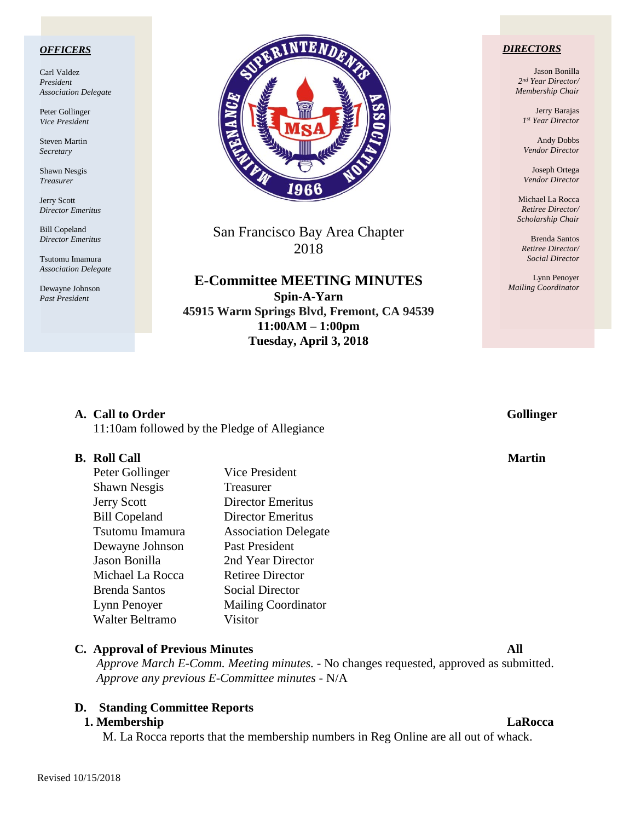### *OFFICERS*

Carl Valdez *President Association Delegate*

Peter Gollinger *Vice President*

Steven Martin *Secretary*

Shawn Nesgis *Treasurer*

Jerry Scott *Director Emeritus*

Bill Copeland *Director Emeritus*

Tsutomu Imamura *Association Delegate*

Dewayne Johnson *Past President*



San Francisco Bay Area Chapter 2018

**E-Committee MEETING MINUTES Spin-A-Yarn 45915 Warm Springs Blvd, Fremont, CA 94539 11:00AM – 1:00pm Tuesday, April 3, 2018**

### *DIRECTORS*

Jason Bonilla *2nd Year Director/ Membership Chair*

> Jerry Barajas *1st Year Director*

Andy Dobbs *Vendor Director*

Joseph Ortega *Vendor Director*

Michael La Rocca *Retiree Director/ Scholarship Chair*

Brenda Santos *Retiree Director/ Social Director*

Lynn Penoyer *Mailing Coordinator*

# **A.** Call to Order Gollinger

11:10am followed by the Pledge of Allegiance

### **B.** Roll Call Martin **Martin**

| Peter Gollinger      | <b>Vice President</b>       |
|----------------------|-----------------------------|
| <b>Shawn Nesgis</b>  | Treasurer                   |
| <b>Jerry Scott</b>   | <b>Director Emeritus</b>    |
| <b>Bill Copeland</b> | <b>Director Emeritus</b>    |
| Tsutomu Imamura      | <b>Association Delegate</b> |
| Dewayne Johnson      | Past President              |
| Jason Bonilla        | 2nd Year Director           |
| Michael La Rocca     | <b>Retiree Director</b>     |
| Brenda Santos        | <b>Social Director</b>      |
| Lynn Penoyer         | <b>Mailing Coordinator</b>  |
| Walter Beltramo      | Visitor                     |

### **C. Approval of Previous Minutes All**

*Approve March E-Comm. Meeting minutes. -* No changes requested, approved as submitted. *Approve any previous E-Committee minutes -* N/A

# **D. Standing Committee Reports**

### **1. Membership LaRocca**

M. La Rocca reports that the membership numbers in Reg Online are all out of whack.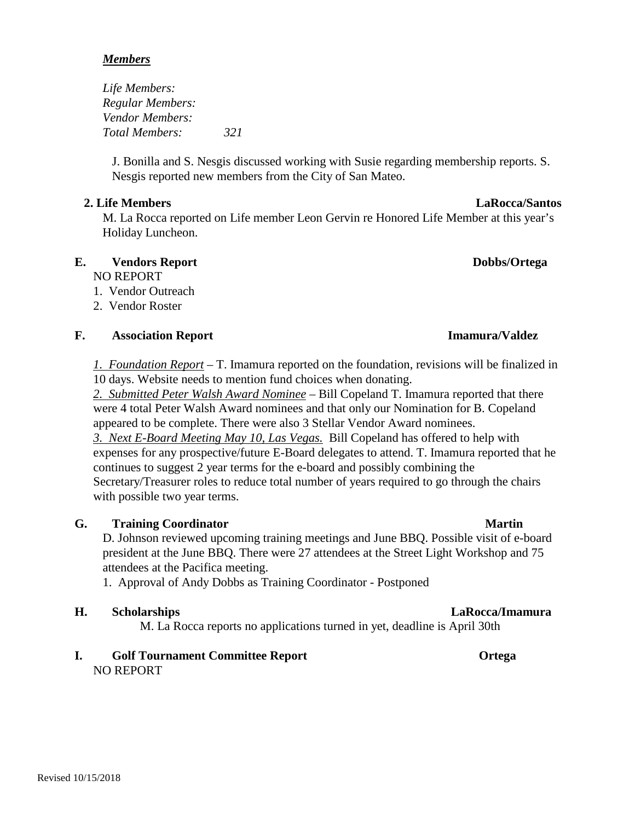## *Members*

*Life Members: Regular Members: Vendor Members: Total Members: 321*

J. Bonilla and S. Nesgis discussed working with Susie regarding membership reports. S. Nesgis reported new members from the City of San Mateo.

## **2. Life Members LaRocca/Santos**

M. La Rocca reported on Life member Leon Gervin re Honored Life Member at this year's Holiday Luncheon.

# **E. Vendors Report Dobbs/Ortega**

NO REPORT

- 1. Vendor Outreach
- 2. Vendor Roster

# **F. Association Report Imamura/Valdez**

*1. Foundation Report* – T. Imamura reported on the foundation, revisions will be finalized in 10 days. Website needs to mention fund choices when donating.

*2. Submitted Peter Walsh Award Nominee* – Bill Copeland T. Imamura reported that there were 4 total Peter Walsh Award nominees and that only our Nomination for B. Copeland appeared to be complete. There were also 3 Stellar Vendor Award nominees.

*3. Next E-Board Meeting May 10, Las Vegas.* Bill Copeland has offered to help with expenses for any prospective/future E-Board delegates to attend. T. Imamura reported that he continues to suggest 2 year terms for the e-board and possibly combining the Secretary/Treasurer roles to reduce total number of years required to go through the chairs with possible two year terms.

# **G. Training Coordinator Martin**

D. Johnson reviewed upcoming training meetings and June BBQ. Possible visit of e-board president at the June BBQ. There were 27 attendees at the Street Light Workshop and 75 attendees at the Pacifica meeting.

1. Approval of Andy Dobbs as Training Coordinator - Postponed

# **H. Scholarships LaRocca/Imamura**

M. La Rocca reports no applications turned in yet, deadline is April 30th

**I. Golf Tournament Committee Report Ortega** NO REPORT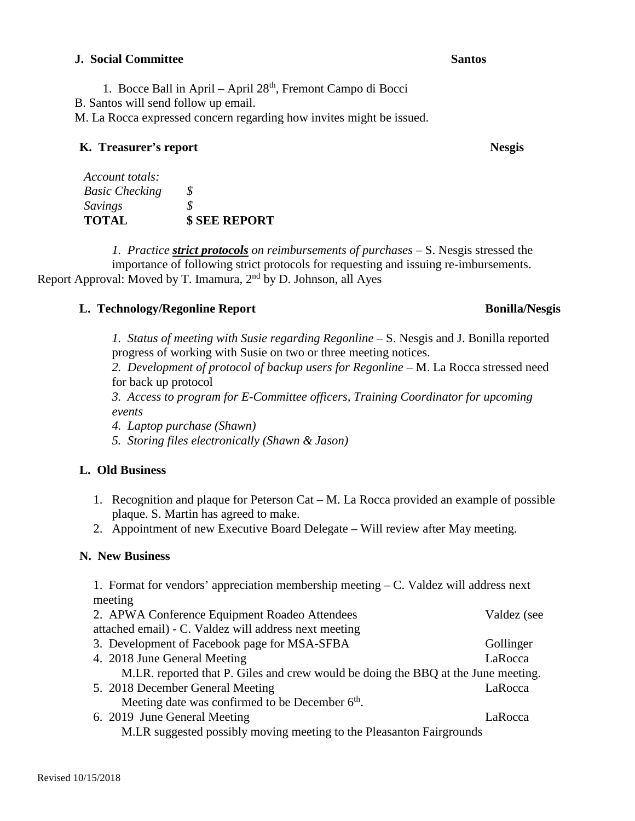## **J. Social Committee Santos Santos Committee Santos Santos Santos Santos Santos Santos Santos Santos Santos Santos Santos Santos Santos Santos Santos Santos Santos Santos Santos Santos Santos Santos Santos Santos Santos Sa**

1. Bocce Ball in April – April 28<sup>th</sup>, Fremont Campo di Bocci

B. Santos will send follow up email.

M. La Rocca expressed concern regarding how invites might be issued.

# **K. Treasurer's report Nesgis**

| Account totals:       |                      |
|-----------------------|----------------------|
| <b>Basic Checking</b> | S.                   |
| Savings               | S.                   |
| <b>TOTAL</b>          | <b>\$ SEE REPORT</b> |

*1. Practice strict protocols on reimbursements of purchases –* S. Nesgis stressed the importance of following strict protocols for requesting and issuing re-imbursements. Report Approval: Moved by T. Imamura,  $2<sup>nd</sup>$  by D. Johnson, all Ayes

# **L. Technology/Regonline Report Bonilla/Nesgis Bonilla/Nesgis**

*1. Status of meeting with Susie regarding Regonline –* S. Nesgis and J. Bonilla reported progress of working with Susie on two or three meeting notices.

*2. Development of protocol of backup users for Regonline –* M. La Rocca stressed need for back up protocol

*3. Access to program for E-Committee officers, Training Coordinator for upcoming events*

*4. Laptop purchase (Shawn)*

*5. Storing files electronically (Shawn & Jason)*

# **L. Old Business**

- 1. Recognition and plaque for Peterson Cat M. La Rocca provided an example of possible plaque. S. Martin has agreed to make.
- 2. Appointment of new Executive Board Delegate Will review after May meeting.

# **N. New Business**

1. Format for vendors' appreciation membership meeting – C. Valdez will address next meeting 2. APWA Conference Equipment Roadeo Attendees Valdez (see attached email) - C. Valdez will address next meeting 3. Development of Facebook page for MSA-SFBA Gollinger 4. 2018 June General Meeting LaRocca M.LR. reported that P. Giles and crew would be doing the BBQ at the June meeting. 5. 2018 December General Meeting LaRocca Meeting date was confirmed to be December  $6<sup>th</sup>$ . 6. 2019 June General Meeting LaRocca M.LR suggested possibly moving meeting to the Pleasanton Fairgrounds